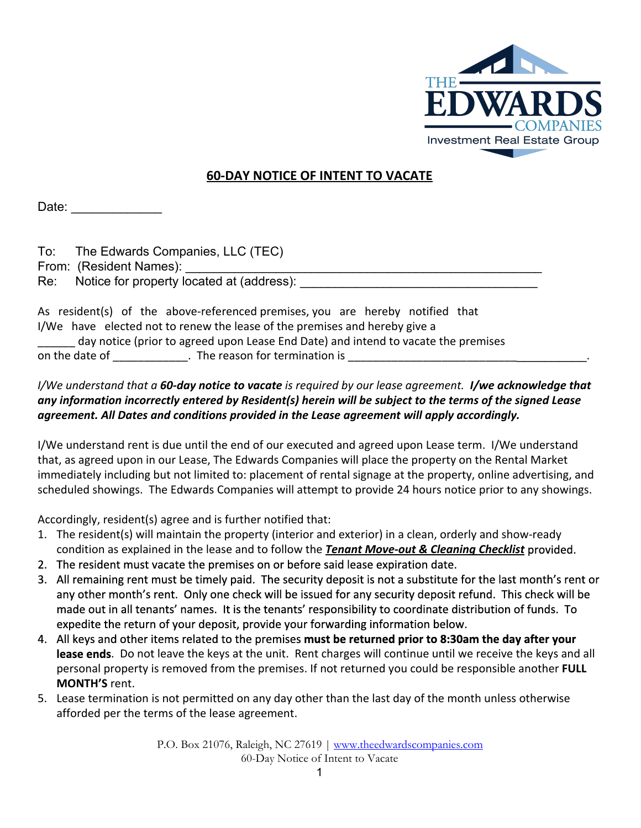

## **60-DAY NOTICE OF INTENT TO VACATE**

Date:

| To: | The Edwards Companies, LLC (TEC)              |
|-----|-----------------------------------------------|
|     | From: (Resident Names):                       |
|     | Re: Notice for property located at (address): |

As resident(s) of the above-referenced premises, you are hereby notified that I/We have elected not to renew the lease of the premises and hereby give a day notice (prior to agreed upon Lease End Date) and intend to vacate the premises on the date of \_\_\_\_\_\_\_\_\_\_\_\_\_\_. The reason for termination is

## *I/We understand that a 60-day notice to vacateis required by our lease agreement. I/we acknowledge that* any information incorrectly entered by Resident(s) herein will be subject to the terms of the signed Lease *agreement. All Dates and conditions provided in the Lease agreement will apply accordingly.*

I/We understand rent is due until the end of our executed and agreed upon Lease term. I/We understand that, as agreed upon in our Lease, The Edwards Companies will place the property on the Rental Market immediately including but not limited to: placement of rental signage at the property, online advertising, and scheduled showings. The Edwards Companies will attempt to provide 24 hours notice prior to any showings.

Accordingly, resident(s) agree and is further notified that:

- 1. The resident(s) will maintain the property (interior and exterior) in a clean, orderly and show-ready condition as explained in the lease and to follow the *Tenant Move-out & Cleaning Checklist*provided.
- 2. The resident must vacate the premises on or before said lease expiration date.
- 3. All remaining rent must be timely paid. The security deposit is not a substitute for the last month's rent or any other month's rent. Only one check will be issued for any security deposit refund. This check will be made out in all tenants' names. It is the tenants' responsibility to coordinate distribution of funds. To expedite the return of your deposit, provide your forwarding information below.
- 4. All keys and other items related to the premises **must be returned prior to 8:30am the day after your lease ends**. Do not leave the keys at the unit. Rent charges will continue until we receive the keys and all personal property is removed from the premises. If not returned you could be responsible another **FULL MONTH'S**rent.
- 5. Lease termination is not permitted on any day other than the last day of the month unless otherwise afforded per the terms of the lease agreement.

P.O. Box 21076, Raleigh, NC 27619 | [www.theedwardscompanies.com](http://www.theedwardscompanies.com/) 60-Day Notice of Intent to Vacate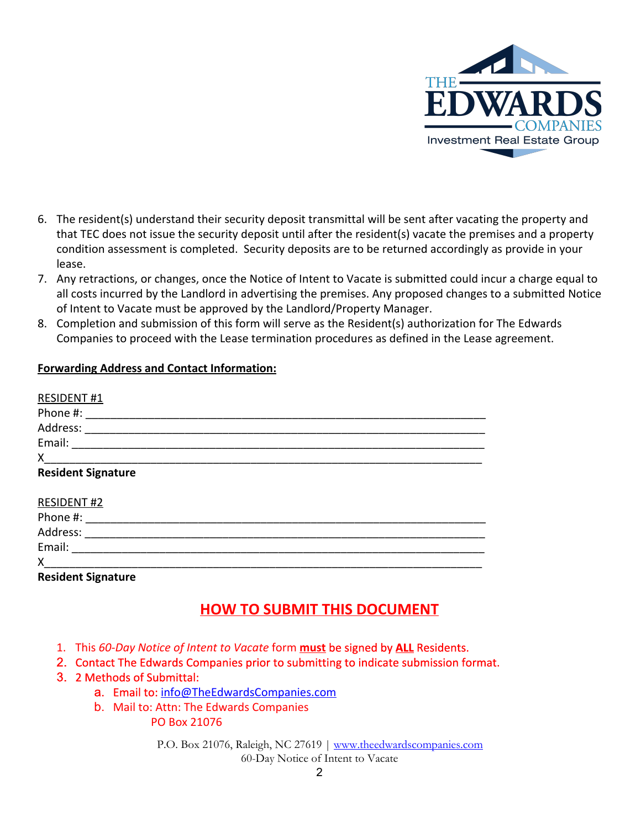

- 6. The resident(s) understand their security deposit transmittal will be sent after vacating the property and that TEC does not issue the security deposit until after the resident(s) vacate the premises and a property condition assessment is completed. Security deposits are to be returned accordingly as provide in your lease.
- 7. Any retractions, or changes, once the Notice of Intent to Vacate is submitted could incur a charge equal to all costs incurred by the Landlord in advertising the premises. Any proposed changes to a submitted Notice of Intent to Vacate must be approved by the Landlord/Property Manager.
- 8. Completion and submission of this form will serve as the Resident(s) authorization for The Edwards Companies to proceed with the Lease termination procedures as defined in the Lease agreement.

## **Forwarding Address and Contact Information:**

| <b>RESIDENT#1</b>         |  |
|---------------------------|--|
| Phone #:                  |  |
| Address:                  |  |
| Email:                    |  |
| X                         |  |
| <b>Resident Signature</b> |  |
| <b>RESIDENT#2</b>         |  |
| Phone #:                  |  |
| Address:                  |  |
| Email:                    |  |
| X                         |  |
| <b>Resident Signature</b> |  |

## **HOW TO SUBMIT THIS DOCUMENT**

- 1. This *60-Day Notice of Intent to Vacate* form **must**be signed by **ALL**Residents.
- 2. Contact The Edwards Companies prior to submitting to indicate submission format.
- 3. 2 Methods of Submittal:
	- a. Email to: [info@TheEdwardsCompanies.com](mailto:info@TheEdwardsCompanies.com)
	- b. Mail to: Attn: The Edwards Companies PO Box 21076

P.O. Box 21076, Raleigh, NC 27619 | [www.theedwardscompanies.com](http://www.theedwardscompanies.com/) 60-Day Notice of Intent to Vacate